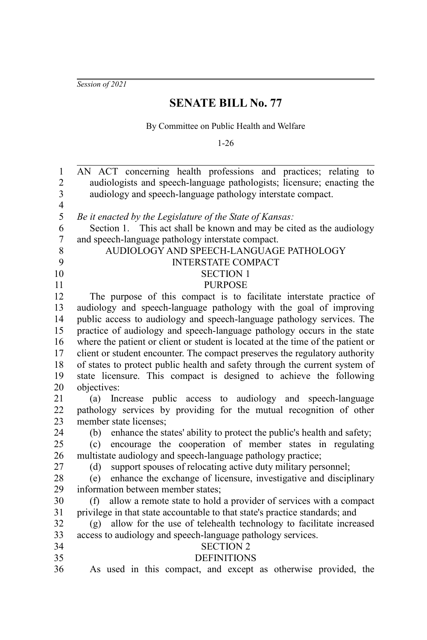*Session of 2021*

### **SENATE BILL No. 77**

By Committee on Public Health and Welfare

1-26

AN ACT concerning health professions and practices; relating to audiologists and speech-language pathologists; licensure; enacting the audiology and speech-language pathology interstate compact. *Be it enacted by the Legislature of the State of Kansas:* Section 1. This act shall be known and may be cited as the audiology and speech-language pathology interstate compact. AUDIOLOGY AND SPEECH-LANGUAGE PATHOLOGY INTERSTATE COMPACT SECTION 1 PURPOSE The purpose of this compact is to facilitate interstate practice of audiology and speech-language pathology with the goal of improving public access to audiology and speech-language pathology services. The practice of audiology and speech-language pathology occurs in the state where the patient or client or student is located at the time of the patient or client or student encounter. The compact preserves the regulatory authority of states to protect public health and safety through the current system of state licensure. This compact is designed to achieve the following objectives: (a) Increase public access to audiology and speech-language pathology services by providing for the mutual recognition of other member state licenses; (b) enhance the states' ability to protect the public's health and safety; (c) encourage the cooperation of member states in regulating multistate audiology and speech-language pathology practice; (d) support spouses of relocating active duty military personnel; (e) enhance the exchange of licensure, investigative and disciplinary information between member states; (f) allow a remote state to hold a provider of services with a compact privilege in that state accountable to that state's practice standards; and (g) allow for the use of telehealth technology to facilitate increased access to audiology and speech-language pathology services. SECTION 2 **DEFINITIONS** As used in this compact, and except as otherwise provided, the 1 2 3 4 5 6 7 8 9 10 11 12 13 14 15 16 17 18 19 20 21 22 23 24 25 26 27 28 29 30 31 32 33 34 35 36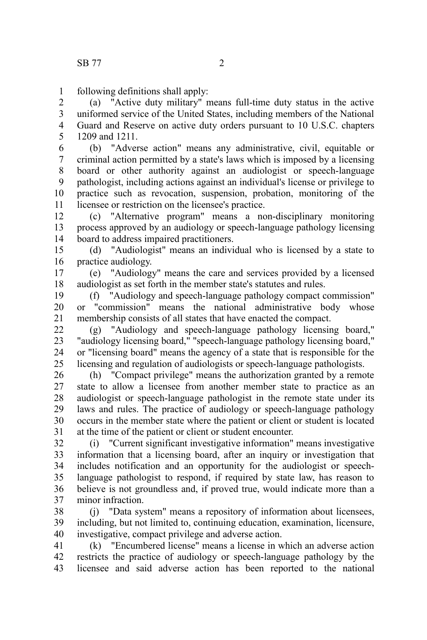following definitions shall apply: 1

(a) "Active duty military" means full-time duty status in the active uniformed service of the United States, including members of the National Guard and Reserve on active duty orders pursuant to 10 U.S.C. chapters 1209 and 1211. 2 3 4 5

(b) "Adverse action" means any administrative, civil, equitable or criminal action permitted by a state's laws which is imposed by a licensing board or other authority against an audiologist or speech-language pathologist, including actions against an individual's license or privilege to practice such as revocation, suspension, probation, monitoring of the licensee or restriction on the licensee's practice. 6 7 8 9 10 11

(c) "Alternative program" means a non-disciplinary monitoring process approved by an audiology or speech-language pathology licensing board to address impaired practitioners. 12 13 14

(d) "Audiologist" means an individual who is licensed by a state to practice audiology. 15 16

(e) "Audiology" means the care and services provided by a licensed audiologist as set forth in the member state's statutes and rules. 17 18

(f) "Audiology and speech-language pathology compact commission" or "commission" means the national administrative body whose membership consists of all states that have enacted the compact. 19 20 21

(g) "Audiology and speech-language pathology licensing board," "audiology licensing board," "speech-language pathology licensing board," or "licensing board" means the agency of a state that is responsible for the licensing and regulation of audiologists or speech-language pathologists. 22 23 24 25

(h) "Compact privilege" means the authorization granted by a remote state to allow a licensee from another member state to practice as an audiologist or speech-language pathologist in the remote state under its laws and rules. The practice of audiology or speech-language pathology occurs in the member state where the patient or client or student is located at the time of the patient or client or student encounter. 26 27 28 29 30 31

(i) "Current significant investigative information" means investigative information that a licensing board, after an inquiry or investigation that includes notification and an opportunity for the audiologist or speechlanguage pathologist to respond, if required by state law, has reason to believe is not groundless and, if proved true, would indicate more than a minor infraction. 32 33 34 35 36 37

(j) "Data system" means a repository of information about licensees, including, but not limited to, continuing education, examination, licensure, investigative, compact privilege and adverse action. 38 39 40

(k) "Encumbered license" means a license in which an adverse action restricts the practice of audiology or speech-language pathology by the licensee and said adverse action has been reported to the national 41 42 43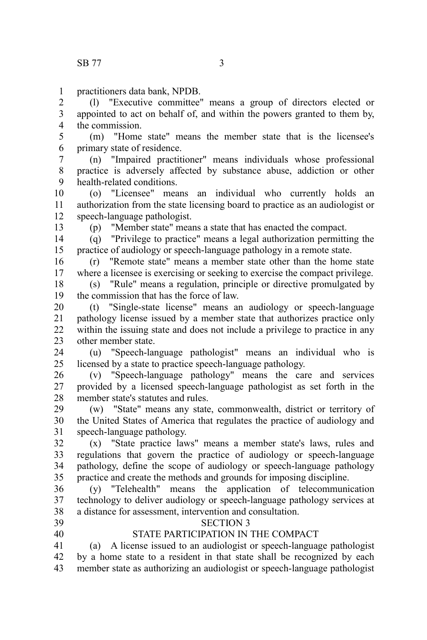practitioners data bank, NPDB. 1

(l) "Executive committee" means a group of directors elected or appointed to act on behalf of, and within the powers granted to them by, the commission. 2 3 4

(m) "Home state" means the member state that is the licensee's primary state of residence. 5 6

(n) "Impaired practitioner" means individuals whose professional practice is adversely affected by substance abuse, addiction or other health-related conditions. 7 8 9

(o) "Licensee" means an individual who currently holds an authorization from the state licensing board to practice as an audiologist or speech-language pathologist. 10 11 12

13

(p) "Member state" means a state that has enacted the compact.

(q) "Privilege to practice" means a legal authorization permitting the practice of audiology or speech-language pathology in a remote state. 14 15

(r) "Remote state" means a member state other than the home state where a licensee is exercising or seeking to exercise the compact privilege. 16 17

(s) "Rule" means a regulation, principle or directive promulgated by the commission that has the force of law. 18 19

(t) "Single-state license" means an audiology or speech-language pathology license issued by a member state that authorizes practice only within the issuing state and does not include a privilege to practice in any other member state. 20 21 22 23

(u) "Speech-language pathologist" means an individual who is licensed by a state to practice speech-language pathology. 24 25

(v) "Speech-language pathology" means the care and services provided by a licensed speech-language pathologist as set forth in the member state's statutes and rules. 26 27 28

(w) "State" means any state, commonwealth, district or territory of the United States of America that regulates the practice of audiology and speech-language pathology. 29 30 31

(x) "State practice laws" means a member state's laws, rules and regulations that govern the practice of audiology or speech-language pathology, define the scope of audiology or speech-language pathology practice and create the methods and grounds for imposing discipline. 32 33 34 35

(y) "Telehealth" means the application of telecommunication technology to deliver audiology or speech-language pathology services at a distance for assessment, intervention and consultation. 36 37 38

39 40

### SECTION 3 STATE PARTICIPATION IN THE COMPACT

(a) A license issued to an audiologist or speech-language pathologist by a home state to a resident in that state shall be recognized by each member state as authorizing an audiologist or speech-language pathologist 41 42 43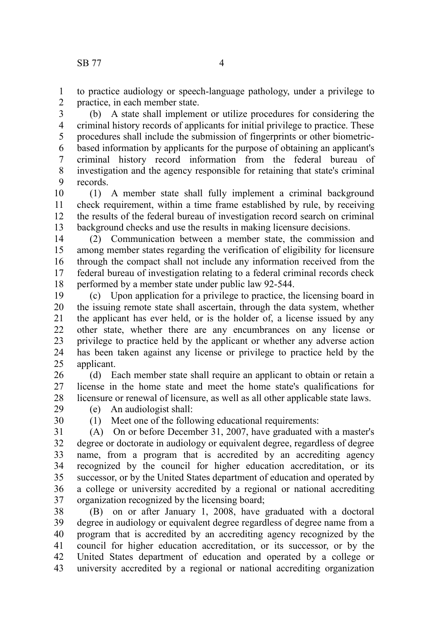to practice audiology or speech-language pathology, under a privilege to practice, in each member state. 1 2

(b) A state shall implement or utilize procedures for considering the criminal history records of applicants for initial privilege to practice. These procedures shall include the submission of fingerprints or other biometricbased information by applicants for the purpose of obtaining an applicant's criminal history record information from the federal bureau of investigation and the agency responsible for retaining that state's criminal records. 3 4 5 6 7 8 9

(1) A member state shall fully implement a criminal background check requirement, within a time frame established by rule, by receiving the results of the federal bureau of investigation record search on criminal background checks and use the results in making licensure decisions. 10 11 12 13

(2) Communication between a member state, the commission and among member states regarding the verification of eligibility for licensure through the compact shall not include any information received from the federal bureau of investigation relating to a federal criminal records check performed by a member state under public law 92-544. 14 15 16 17 18

(c) Upon application for a privilege to practice, the licensing board in the issuing remote state shall ascertain, through the data system, whether the applicant has ever held, or is the holder of, a license issued by any other state, whether there are any encumbrances on any license or privilege to practice held by the applicant or whether any adverse action has been taken against any license or privilege to practice held by the applicant. 19 20 21 22 23 24 25

(d) Each member state shall require an applicant to obtain or retain a license in the home state and meet the home state's qualifications for licensure or renewal of licensure, as well as all other applicable state laws. 26 27 28

- (e) An audiologist shall:
- 29 30

(1) Meet one of the following educational requirements:

(A) On or before December 31, 2007, have graduated with a master's degree or doctorate in audiology or equivalent degree, regardless of degree name, from a program that is accredited by an accrediting agency recognized by the council for higher education accreditation, or its successor, or by the United States department of education and operated by a college or university accredited by a regional or national accrediting organization recognized by the licensing board; 31 32 33 34 35 36 37

(B) on or after January 1, 2008, have graduated with a doctoral degree in audiology or equivalent degree regardless of degree name from a program that is accredited by an accrediting agency recognized by the council for higher education accreditation, or its successor, or by the United States department of education and operated by a college or university accredited by a regional or national accrediting organization 38 39 40 41 42 43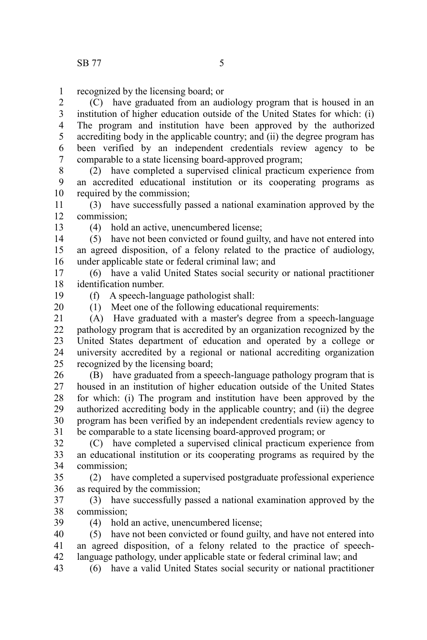recognized by the licensing board; or 1

(C) have graduated from an audiology program that is housed in an institution of higher education outside of the United States for which: (i) The program and institution have been approved by the authorized accrediting body in the applicable country; and (ii) the degree program has been verified by an independent credentials review agency to be comparable to a state licensing board-approved program; 2 3 4 5 6 7

(2) have completed a supervised clinical practicum experience from an accredited educational institution or its cooperating programs as required by the commission; 8 9 10

(3) have successfully passed a national examination approved by the commission; 11 12

13

(4) hold an active, unencumbered license;

(5) have not been convicted or found guilty, and have not entered into an agreed disposition, of a felony related to the practice of audiology, under applicable state or federal criminal law; and 14 15 16

(6) have a valid United States social security or national practitioner identification number. 17 18

19 20 (f) A speech-language pathologist shall:

(1) Meet one of the following educational requirements:

 $(A)$  Have graduated with a master's degree from a speech-language pathology program that is accredited by an organization recognized by the United States department of education and operated by a college or university accredited by a regional or national accrediting organization recognized by the licensing board; 21 22 23 24 25

(B) have graduated from a speech-language pathology program that is housed in an institution of higher education outside of the United States for which: (i) The program and institution have been approved by the authorized accrediting body in the applicable country; and (ii) the degree program has been verified by an independent credentials review agency to be comparable to a state licensing board-approved program; or 26 27 28 29 30 31

(C) have completed a supervised clinical practicum experience from an educational institution or its cooperating programs as required by the commission; 32 33 34

(2) have completed a supervised postgraduate professional experience as required by the commission; 35 36

(3) have successfully passed a national examination approved by the commission; 37 38

39

(4) hold an active, unencumbered license;

(5) have not been convicted or found guilty, and have not entered into an agreed disposition, of a felony related to the practice of speechlanguage pathology, under applicable state or federal criminal law; and 40 41 42

(6) have a valid United States social security or national practitioner 43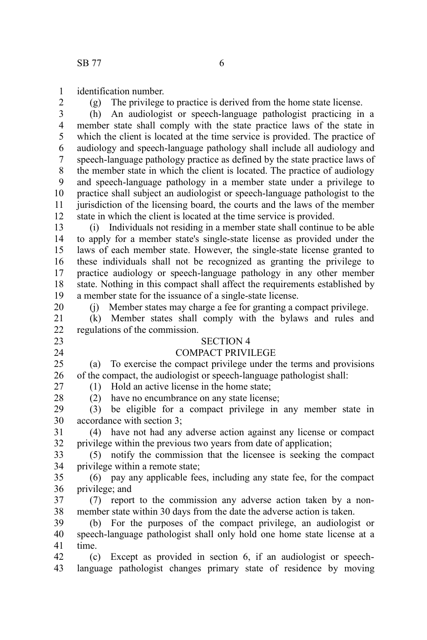identification number. 1

2

(g) The privilege to practice is derived from the home state license.

(h) An audiologist or speech-language pathologist practicing in a member state shall comply with the state practice laws of the state in which the client is located at the time service is provided. The practice of audiology and speech-language pathology shall include all audiology and speech-language pathology practice as defined by the state practice laws of the member state in which the client is located. The practice of audiology and speech-language pathology in a member state under a privilege to practice shall subject an audiologist or speech-language pathologist to the jurisdiction of the licensing board, the courts and the laws of the member state in which the client is located at the time service is provided. 3 4 5 6 7 8 9 10 11 12

(i) Individuals not residing in a member state shall continue to be able to apply for a member state's single-state license as provided under the laws of each member state. However, the single-state license granted to these individuals shall not be recognized as granting the privilege to practice audiology or speech-language pathology in any other member state. Nothing in this compact shall affect the requirements established by a member state for the issuance of a single-state license. 13 14 15 16 17 18 19

(j) Member states may charge a fee for granting a compact privilege.

(k) Member states shall comply with the bylaws and rules and regulations of the commission. 21 22

23 24

20

SECTION 4

### COMPACT PRIVILEGE

(a) To exercise the compact privilege under the terms and provisions of the compact, the audiologist or speech-language pathologist shall: 25 26 27

(1) Hold an active license in the home state;

28 29

(2) have no encumbrance on any state license; (3) be eligible for a compact privilege in any member state in

accordance with section 3; 30

(4) have not had any adverse action against any license or compact privilege within the previous two years from date of application; 31 32

(5) notify the commission that the licensee is seeking the compact privilege within a remote state; 33 34

(6) pay any applicable fees, including any state fee, for the compact privilege; and 35 36

(7) report to the commission any adverse action taken by a nonmember state within 30 days from the date the adverse action is taken. 37 38

(b) For the purposes of the compact privilege, an audiologist or speech-language pathologist shall only hold one home state license at a time. 39 40 41

(c) Except as provided in section 6, if an audiologist or speechlanguage pathologist changes primary state of residence by moving 42 43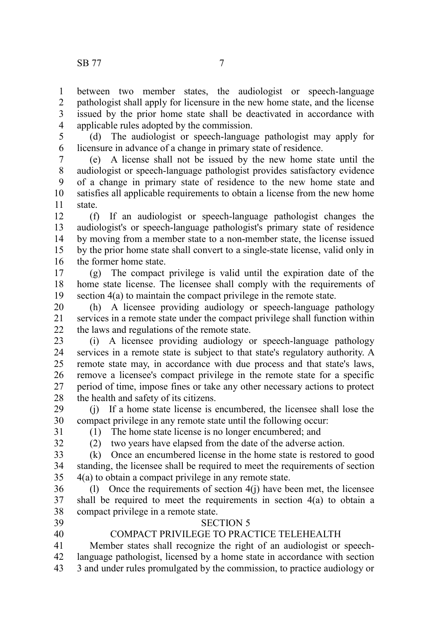between two member states, the audiologist or speech-language pathologist shall apply for licensure in the new home state, and the license issued by the prior home state shall be deactivated in accordance with applicable rules adopted by the commission. 1 2 3 4

(d) The audiologist or speech-language pathologist may apply for licensure in advance of a change in primary state of residence. 5 6

(e) A license shall not be issued by the new home state until the audiologist or speech-language pathologist provides satisfactory evidence of a change in primary state of residence to the new home state and satisfies all applicable requirements to obtain a license from the new home state. 7 8 9 10 11

(f) If an audiologist or speech-language pathologist changes the audiologist's or speech-language pathologist's primary state of residence by moving from a member state to a non-member state, the license issued by the prior home state shall convert to a single-state license, valid only in the former home state. 12 13 14 15 16

(g) The compact privilege is valid until the expiration date of the home state license. The licensee shall comply with the requirements of section 4(a) to maintain the compact privilege in the remote state. 17 18 19

(h) A licensee providing audiology or speech-language pathology services in a remote state under the compact privilege shall function within the laws and regulations of the remote state. 20 21 22

(i) A licensee providing audiology or speech-language pathology services in a remote state is subject to that state's regulatory authority. A remote state may, in accordance with due process and that state's laws, remove a licensee's compact privilege in the remote state for a specific period of time, impose fines or take any other necessary actions to protect the health and safety of its citizens. 23 24 25 26 27 28

(j) If a home state license is encumbered, the licensee shall lose the compact privilege in any remote state until the following occur: 29 30

31

(1) The home state license is no longer encumbered; and

32

(2) two years have elapsed from the date of the adverse action.

(k) Once an encumbered license in the home state is restored to good standing, the licensee shall be required to meet the requirements of section 4(a) to obtain a compact privilege in any remote state. 33 34 35

(l) Once the requirements of section 4(j) have been met, the licensee shall be required to meet the requirements in section 4(a) to obtain a compact privilege in a remote state. 36 37 38

39 40

#### SECTION 5 COMPACT PRIVILEGE TO PRACTICE TELEHEALTH

Member states shall recognize the right of an audiologist or speechlanguage pathologist, licensed by a home state in accordance with section 3 and under rules promulgated by the commission, to practice audiology or 41 42 43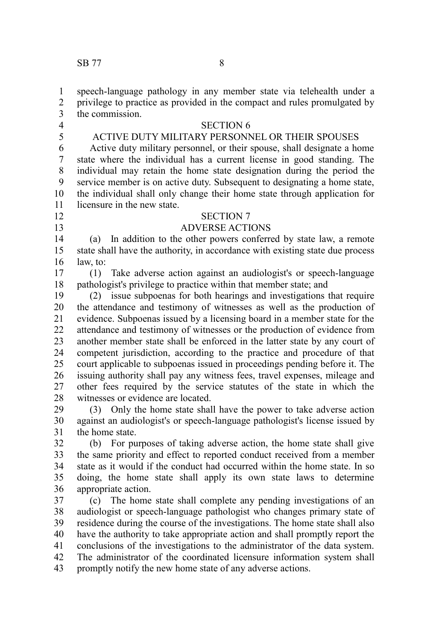speech-language pathology in any member state via telehealth under a privilege to practice as provided in the compact and rules promulgated by the commission. 1 2 3

4 5

12 13

## SECTION 6

### ACTIVE DUTY MILITARY PERSONNEL OR THEIR SPOUSES

Active duty military personnel, or their spouse, shall designate a home state where the individual has a current license in good standing. The individual may retain the home state designation during the period the service member is on active duty. Subsequent to designating a home state, the individual shall only change their home state through application for licensure in the new state. 6 7 8 9 10 11

### SECTION 7

### ADVERSE ACTIONS

(a) In addition to the other powers conferred by state law, a remote state shall have the authority, in accordance with existing state due process law, to: 14 15 16

(1) Take adverse action against an audiologist's or speech-language pathologist's privilege to practice within that member state; and 17 18

(2) issue subpoenas for both hearings and investigations that require the attendance and testimony of witnesses as well as the production of evidence. Subpoenas issued by a licensing board in a member state for the attendance and testimony of witnesses or the production of evidence from another member state shall be enforced in the latter state by any court of competent jurisdiction, according to the practice and procedure of that court applicable to subpoenas issued in proceedings pending before it. The issuing authority shall pay any witness fees, travel expenses, mileage and other fees required by the service statutes of the state in which the witnesses or evidence are located. 19 20 21 22 23 24 25 26 27 28

(3) Only the home state shall have the power to take adverse action against an audiologist's or speech-language pathologist's license issued by the home state. 29 30 31

(b) For purposes of taking adverse action, the home state shall give the same priority and effect to reported conduct received from a member state as it would if the conduct had occurred within the home state. In so doing, the home state shall apply its own state laws to determine appropriate action. 32 33 34 35 36

(c) The home state shall complete any pending investigations of an audiologist or speech-language pathologist who changes primary state of residence during the course of the investigations. The home state shall also have the authority to take appropriate action and shall promptly report the conclusions of the investigations to the administrator of the data system. The administrator of the coordinated licensure information system shall promptly notify the new home state of any adverse actions. 37 38 39 40 41 42 43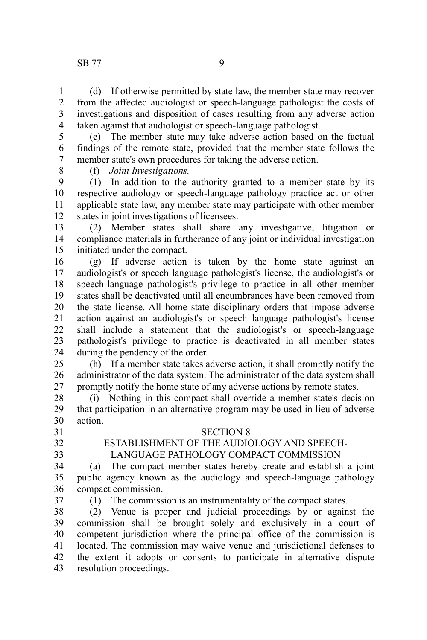(d) If otherwise permitted by state law, the member state may recover from the affected audiologist or speech-language pathologist the costs of investigations and disposition of cases resulting from any adverse action taken against that audiologist or speech-language pathologist. 1 2 3 4

(e) The member state may take adverse action based on the factual findings of the remote state, provided that the member state follows the member state's own procedures for taking the adverse action. 5 6 7

8

(f) *Joint Investigations.*

(1) In addition to the authority granted to a member state by its respective audiology or speech-language pathology practice act or other applicable state law, any member state may participate with other member states in joint investigations of licensees. 9 10 11 12

(2) Member states shall share any investigative, litigation or compliance materials in furtherance of any joint or individual investigation initiated under the compact. 13 14 15

(g) If adverse action is taken by the home state against an audiologist's or speech language pathologist's license, the audiologist's or speech-language pathologist's privilege to practice in all other member states shall be deactivated until all encumbrances have been removed from the state license. All home state disciplinary orders that impose adverse action against an audiologist's or speech language pathologist's license shall include a statement that the audiologist's or speech-language pathologist's privilege to practice is deactivated in all member states during the pendency of the order. 16 17 18 19 20 21 22 23 24

(h) If a member state takes adverse action, it shall promptly notify the administrator of the data system. The administrator of the data system shall promptly notify the home state of any adverse actions by remote states. 25 26 27

(i) Nothing in this compact shall override a member state's decision that participation in an alternative program may be used in lieu of adverse action. 28 29 30

31

- 32
- 33

#### SECTION 8

### ESTABLISHMENT OF THE AUDIOLOGY AND SPEECH-

### LANGUAGE PATHOLOGY COMPACT COMMISSION

(a) The compact member states hereby create and establish a joint public agency known as the audiology and speech-language pathology compact commission. 34 35 36

37

(1) The commission is an instrumentality of the compact states.

(2) Venue is proper and judicial proceedings by or against the commission shall be brought solely and exclusively in a court of competent jurisdiction where the principal office of the commission is located. The commission may waive venue and jurisdictional defenses to the extent it adopts or consents to participate in alternative dispute resolution proceedings. 38 39 40 41 42 43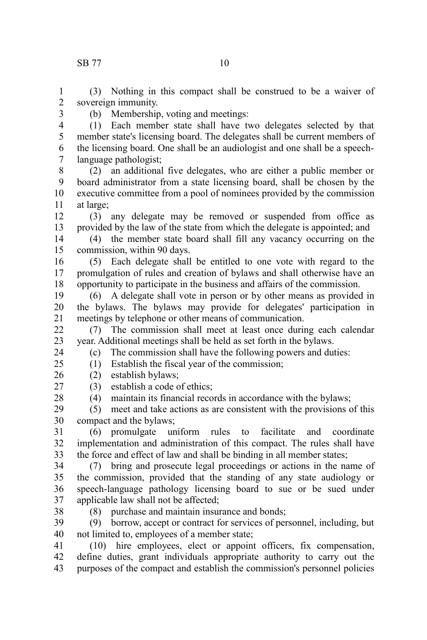(3) Nothing in this compact shall be construed to be a waiver of sovereign immunity. 1 2

3

(b) Membership, voting and meetings:

(1) Each member state shall have two delegates selected by that member state's licensing board. The delegates shall be current members of the licensing board. One shall be an audiologist and one shall be a speechlanguage pathologist; 4 5 6 7

(2) an additional five delegates, who are either a public member or board administrator from a state licensing board, shall be chosen by the executive committee from a pool of nominees provided by the commission at large; 8 9 10 11

(3) any delegate may be removed or suspended from office as provided by the law of the state from which the delegate is appointed; and 12 13

(4) the member state board shall fill any vacancy occurring on the commission, within 90 days. 14 15

(5) Each delegate shall be entitled to one vote with regard to the promulgation of rules and creation of bylaws and shall otherwise have an opportunity to participate in the business and affairs of the commission. 16 17 18

(6) A delegate shall vote in person or by other means as provided in the bylaws. The bylaws may provide for delegates' participation in meetings by telephone or other means of communication. 19 20 21

(7) The commission shall meet at least once during each calendar year. Additional meetings shall be held as set forth in the bylaws. 22 23

(c) The commission shall have the following powers and duties:

(1) Establish the fiscal year of the commission;

(2) establish bylaws; 26

(3) establish a code of ethics; 27

(4) maintain its financial records in accordance with the bylaws;

(5) meet and take actions as are consistent with the provisions of this compact and the bylaws; 29 30

(6) promulgate uniform rules to facilitate and coordinate implementation and administration of this compact. The rules shall have the force and effect of law and shall be binding in all member states; 31 32 33

(7) bring and prosecute legal proceedings or actions in the name of the commission, provided that the standing of any state audiology or speech-language pathology licensing board to sue or be sued under applicable law shall not be affected; 34 35 36 37

38

24  $25$ 

28

(8) purchase and maintain insurance and bonds;

(9) borrow, accept or contract for services of personnel, including, but not limited to, employees of a member state; 39 40

(10) hire employees, elect or appoint officers, fix compensation, define duties, grant individuals appropriate authority to carry out the purposes of the compact and establish the commission's personnel policies 41 42 43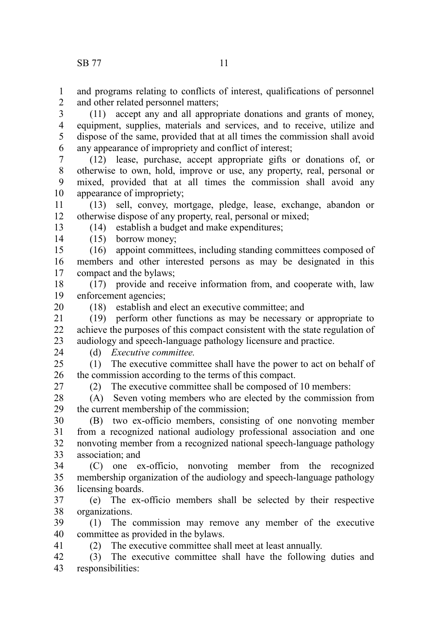and programs relating to conflicts of interest, qualifications of personnel and other related personnel matters; 1 2

(11) accept any and all appropriate donations and grants of money, equipment, supplies, materials and services, and to receive, utilize and dispose of the same, provided that at all times the commission shall avoid any appearance of impropriety and conflict of interest; 3 4 5 6

(12) lease, purchase, accept appropriate gifts or donations of, or otherwise to own, hold, improve or use, any property, real, personal or mixed, provided that at all times the commission shall avoid any appearance of impropriety; 7 8 9 10

(13) sell, convey, mortgage, pledge, lease, exchange, abandon or otherwise dispose of any property, real, personal or mixed; 11 12

(14) establish a budget and make expenditures;

(15) borrow money; 14

(16) appoint committees, including standing committees composed of members and other interested persons as may be designated in this compact and the bylaws; 15 16 17

(17) provide and receive information from, and cooperate with, law enforcement agencies; 18 19

20

13

(18) establish and elect an executive committee; and

(19) perform other functions as may be necessary or appropriate to achieve the purposes of this compact consistent with the state regulation of audiology and speech-language pathology licensure and practice. 21 22 23

24

### (d) *Executive committee.*

(1) The executive committee shall have the power to act on behalf of the commission according to the terms of this compact.  $25$ 26

27

41

(2) The executive committee shall be composed of 10 members:

(A) Seven voting members who are elected by the commission from the current membership of the commission; 28 29

(B) two ex-officio members, consisting of one nonvoting member from a recognized national audiology professional association and one nonvoting member from a recognized national speech-language pathology association; and 30 31 32 33

(C) one ex-officio, nonvoting member from the recognized membership organization of the audiology and speech-language pathology licensing boards. 34 35 36

(e) The ex-officio members shall be selected by their respective organizations. 37 38

(1) The commission may remove any member of the executive committee as provided in the bylaws. 39 40

(2) The executive committee shall meet at least annually.

(3) The executive committee shall have the following duties and responsibilities: 42 43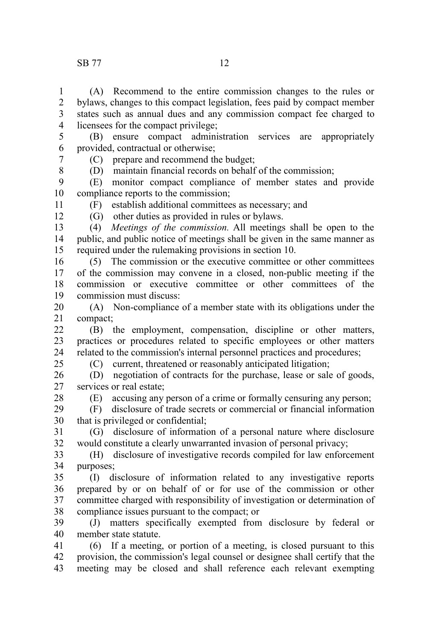#### SB 77 12

(A) Recommend to the entire commission changes to the rules or bylaws, changes to this compact legislation, fees paid by compact member states such as annual dues and any commission compact fee charged to licensees for the compact privilege; 1 2 3 4

(B) ensure compact administration services are appropriately provided, contractual or otherwise; 5 6 7

(C) prepare and recommend the budget;

(D) maintain financial records on behalf of the commission;

(E) monitor compact compliance of member states and provide compliance reports to the commission; 9 10

11 12

8

(F) establish additional committees as necessary; and

(G) other duties as provided in rules or bylaws.

(4) *Meetings of the commission.* All meetings shall be open to the public, and public notice of meetings shall be given in the same manner as required under the rulemaking provisions in section 10. 13 14 15

(5) The commission or the executive committee or other committees of the commission may convene in a closed, non-public meeting if the commission or executive committee or other committees of the commission must discuss: 16 17 18 19

(A) Non-compliance of a member state with its obligations under the compact; 20 21

(B) the employment, compensation, discipline or other matters, practices or procedures related to specific employees or other matters related to the commission's internal personnel practices and procedures;  $22$ 23 24 25

(C) current, threatened or reasonably anticipated litigation;

(D) negotiation of contracts for the purchase, lease or sale of goods, services or real estate; 26 27

28

(E) accusing any person of a crime or formally censuring any person;

(F) disclosure of trade secrets or commercial or financial information that is privileged or confidential; 29 30

(G) disclosure of information of a personal nature where disclosure would constitute a clearly unwarranted invasion of personal privacy; 31 32

(H) disclosure of investigative records compiled for law enforcement purposes; 33 34

(I) disclosure of information related to any investigative reports prepared by or on behalf of or for use of the commission or other committee charged with responsibility of investigation or determination of compliance issues pursuant to the compact; or 35 36 37 38

(J) matters specifically exempted from disclosure by federal or member state statute. 39 40

(6) If a meeting, or portion of a meeting, is closed pursuant to this provision, the commission's legal counsel or designee shall certify that the meeting may be closed and shall reference each relevant exempting 41 42 43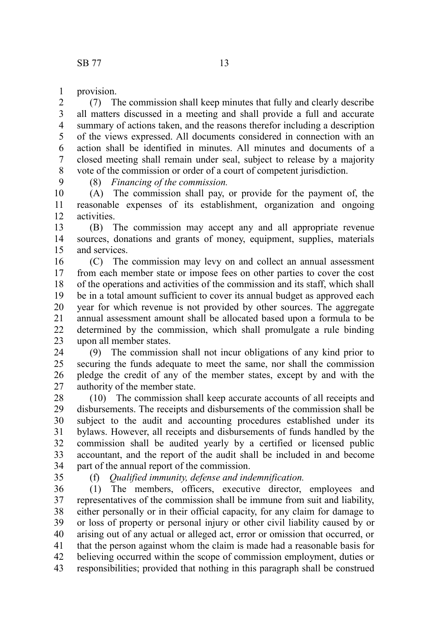provision. 1

9

(7) The commission shall keep minutes that fully and clearly describe all matters discussed in a meeting and shall provide a full and accurate summary of actions taken, and the reasons therefor including a description of the views expressed. All documents considered in connection with an action shall be identified in minutes. All minutes and documents of a closed meeting shall remain under seal, subject to release by a majority vote of the commission or order of a court of competent jurisdiction. 2 3 4 5 6 7 8

(8) *Financing of the commission.*

(A) The commission shall pay, or provide for the payment of, the reasonable expenses of its establishment, organization and ongoing activities. 10 11 12

(B) The commission may accept any and all appropriate revenue sources, donations and grants of money, equipment, supplies, materials and services. 13 14 15

(C) The commission may levy on and collect an annual assessment from each member state or impose fees on other parties to cover the cost of the operations and activities of the commission and its staff, which shall be in a total amount sufficient to cover its annual budget as approved each year for which revenue is not provided by other sources. The aggregate annual assessment amount shall be allocated based upon a formula to be determined by the commission, which shall promulgate a rule binding upon all member states. 16 17 18 19 20 21 22 23

(9) The commission shall not incur obligations of any kind prior to securing the funds adequate to meet the same, nor shall the commission pledge the credit of any of the member states, except by and with the authority of the member state. 24 25 26 27

(10) The commission shall keep accurate accounts of all receipts and disbursements. The receipts and disbursements of the commission shall be subject to the audit and accounting procedures established under its bylaws. However, all receipts and disbursements of funds handled by the commission shall be audited yearly by a certified or licensed public accountant, and the report of the audit shall be included in and become part of the annual report of the commission. 28 29 30 31 32 33 34

35

(f) *Qualified immunity, defense and indemnification.*

(1) The members, officers, executive director, employees and representatives of the commission shall be immune from suit and liability, either personally or in their official capacity, for any claim for damage to or loss of property or personal injury or other civil liability caused by or arising out of any actual or alleged act, error or omission that occurred, or that the person against whom the claim is made had a reasonable basis for believing occurred within the scope of commission employment, duties or responsibilities; provided that nothing in this paragraph shall be construed 36 37 38 39 40 41 42 43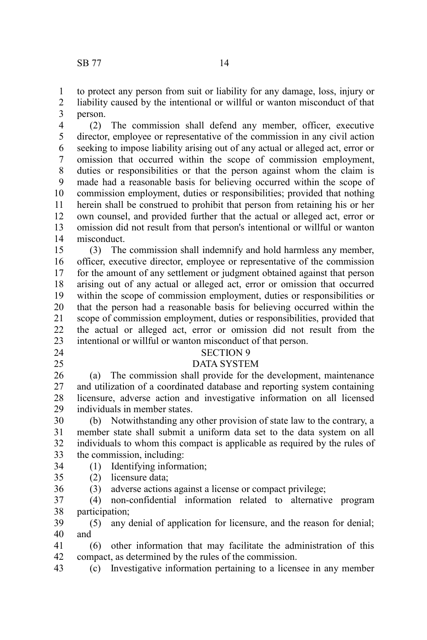to protect any person from suit or liability for any damage, loss, injury or liability caused by the intentional or willful or wanton misconduct of that person. 1 2 3

(2) The commission shall defend any member, officer, executive director, employee or representative of the commission in any civil action seeking to impose liability arising out of any actual or alleged act, error or omission that occurred within the scope of commission employment, duties or responsibilities or that the person against whom the claim is made had a reasonable basis for believing occurred within the scope of commission employment, duties or responsibilities; provided that nothing herein shall be construed to prohibit that person from retaining his or her own counsel, and provided further that the actual or alleged act, error or omission did not result from that person's intentional or willful or wanton misconduct. 4 5 6 7 8 9 10 11 12 13 14

(3) The commission shall indemnify and hold harmless any member, officer, executive director, employee or representative of the commission for the amount of any settlement or judgment obtained against that person arising out of any actual or alleged act, error or omission that occurred within the scope of commission employment, duties or responsibilities or that the person had a reasonable basis for believing occurred within the scope of commission employment, duties or responsibilities, provided that the actual or alleged act, error or omission did not result from the intentional or willful or wanton misconduct of that person. 15 16 17 18 19 20 21 22 23

- 24
- 25

#### SECTION 9

#### DATA SYSTEM

(a) The commission shall provide for the development, maintenance and utilization of a coordinated database and reporting system containing licensure, adverse action and investigative information on all licensed individuals in member states. 26 27 28 29

(b) Notwithstanding any other provision of state law to the contrary, a member state shall submit a uniform data set to the data system on all individuals to whom this compact is applicable as required by the rules of the commission, including: 30 31 32 33

- (1) Identifying information; 34
- (2) licensure data; 35
- (3) adverse actions against a license or compact privilege; 36

(4) non-confidential information related to alternative program participation; 37 38

(5) any denial of application for licensure, and the reason for denial; and 39 40

(6) other information that may facilitate the administration of this compact, as determined by the rules of the commission. 41 42

(c) Investigative information pertaining to a licensee in any member 43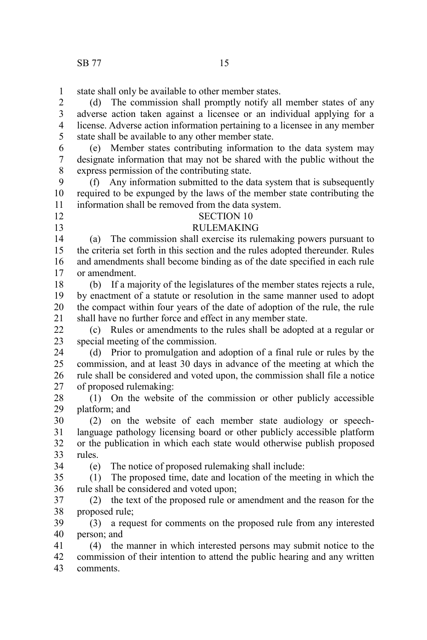state shall only be available to other member states. 1

(d) The commission shall promptly notify all member states of any adverse action taken against a licensee or an individual applying for a license. Adverse action information pertaining to a licensee in any member state shall be available to any other member state. 2 3 4 5

(e) Member states contributing information to the data system may designate information that may not be shared with the public without the express permission of the contributing state. 6 7 8

(f) Any information submitted to the data system that is subsequently required to be expunged by the laws of the member state contributing the information shall be removed from the data system. 9 10 11

12

13

# SECTION 10

### RULEMAKING

(a) The commission shall exercise its rulemaking powers pursuant to the criteria set forth in this section and the rules adopted thereunder. Rules and amendments shall become binding as of the date specified in each rule or amendment. 14 15 16 17

(b) If a majority of the legislatures of the member states rejects a rule, by enactment of a statute or resolution in the same manner used to adopt the compact within four years of the date of adoption of the rule, the rule shall have no further force and effect in any member state. 18 19 20 21

(c) Rules or amendments to the rules shall be adopted at a regular or special meeting of the commission. 22 23

(d) Prior to promulgation and adoption of a final rule or rules by the commission, and at least 30 days in advance of the meeting at which the rule shall be considered and voted upon, the commission shall file a notice of proposed rulemaking: 24 25 26 27

(1) On the website of the commission or other publicly accessible platform; and 28 29

(2) on the website of each member state audiology or speechlanguage pathology licensing board or other publicly accessible platform or the publication in which each state would otherwise publish proposed rules. 30 31 32 33

34

(e) The notice of proposed rulemaking shall include:

(1) The proposed time, date and location of the meeting in which the rule shall be considered and voted upon; 35 36

(2) the text of the proposed rule or amendment and the reason for the proposed rule; 37 38

(3) a request for comments on the proposed rule from any interested person; and 39 40

(4) the manner in which interested persons may submit notice to the commission of their intention to attend the public hearing and any written comments. 41 42 43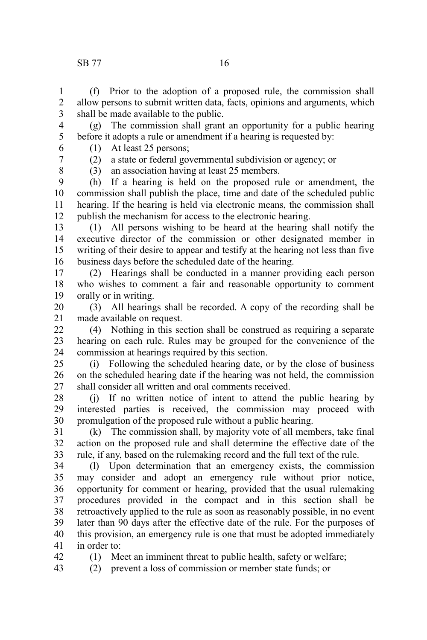### SB 77 16

(f) Prior to the adoption of a proposed rule, the commission shall allow persons to submit written data, facts, opinions and arguments, which shall be made available to the public. 1 2 3

(g) The commission shall grant an opportunity for a public hearing before it adopts a rule or amendment if a hearing is requested by: 4 5

- (1) At least 25 persons;
- 6 7

(2) a state or federal governmental subdivision or agency; or

8

42

(3) an association having at least 25 members.

(h) If a hearing is held on the proposed rule or amendment, the commission shall publish the place, time and date of the scheduled public hearing. If the hearing is held via electronic means, the commission shall publish the mechanism for access to the electronic hearing. 9 10 11 12

(1) All persons wishing to be heard at the hearing shall notify the executive director of the commission or other designated member in writing of their desire to appear and testify at the hearing not less than five business days before the scheduled date of the hearing. 13 14 15 16

(2) Hearings shall be conducted in a manner providing each person who wishes to comment a fair and reasonable opportunity to comment orally or in writing. 17 18 19

(3) All hearings shall be recorded. A copy of the recording shall be made available on request. 20 21

(4) Nothing in this section shall be construed as requiring a separate hearing on each rule. Rules may be grouped for the convenience of the commission at hearings required by this section. 22 23 24

(i) Following the scheduled hearing date, or by the close of business on the scheduled hearing date if the hearing was not held, the commission shall consider all written and oral comments received. 25 26 27

(j) If no written notice of intent to attend the public hearing by interested parties is received, the commission may proceed with promulgation of the proposed rule without a public hearing. 28 29 30

(k) The commission shall, by majority vote of all members, take final action on the proposed rule and shall determine the effective date of the rule, if any, based on the rulemaking record and the full text of the rule. 31 32 33

(l) Upon determination that an emergency exists, the commission may consider and adopt an emergency rule without prior notice, opportunity for comment or hearing, provided that the usual rulemaking procedures provided in the compact and in this section shall be retroactively applied to the rule as soon as reasonably possible, in no event later than 90 days after the effective date of the rule. For the purposes of this provision, an emergency rule is one that must be adopted immediately in order to: 34 35 36 37 38 39 40 41

(1) Meet an imminent threat to public health, safety or welfare;

(2) prevent a loss of commission or member state funds; or 43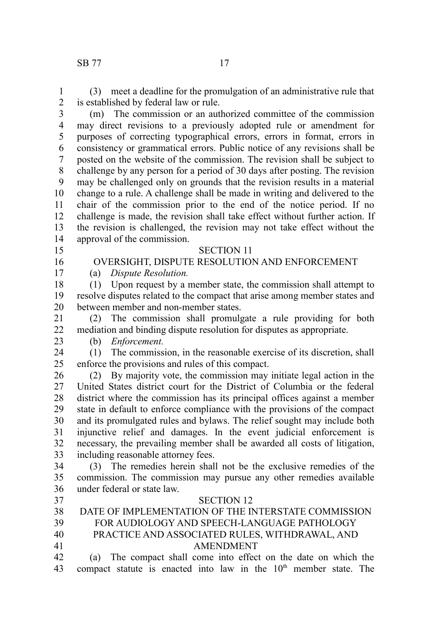(3) meet a deadline for the promulgation of an administrative rule that is established by federal law or rule. 1 2

- (m) The commission or an authorized committee of the commission may direct revisions to a previously adopted rule or amendment for purposes of correcting typographical errors, errors in format, errors in consistency or grammatical errors. Public notice of any revisions shall be posted on the website of the commission. The revision shall be subject to challenge by any person for a period of 30 days after posting. The revision may be challenged only on grounds that the revision results in a material change to a rule. A challenge shall be made in writing and delivered to the chair of the commission prior to the end of the notice period. If no challenge is made, the revision shall take effect without further action. If the revision is challenged, the revision may not take effect without the approval of the commission. 3 4 5 6 7 8 9 10 11 12 13 14
- 15
- SECTION 11 OVERSIGHT, DISPUTE RESOLUTION AND ENFORCEMENT

### 16 17

(a) *Dispute Resolution.*

(1) Upon request by a member state, the commission shall attempt to resolve disputes related to the compact that arise among member states and between member and non-member states. 18 19 20

(2) The commission shall promulgate a rule providing for both mediation and binding dispute resolution for disputes as appropriate. 21 22

(b) *Enforcement.* 23

(1) The commission, in the reasonable exercise of its discretion, shall enforce the provisions and rules of this compact. 24 25

(2) By majority vote, the commission may initiate legal action in the United States district court for the District of Columbia or the federal district where the commission has its principal offices against a member state in default to enforce compliance with the provisions of the compact and its promulgated rules and bylaws. The relief sought may include both injunctive relief and damages. In the event judicial enforcement is necessary, the prevailing member shall be awarded all costs of litigation, including reasonable attorney fees. 26 27 28 29 30 31 32 33

(3) The remedies herein shall not be the exclusive remedies of the commission. The commission may pursue any other remedies available under federal or state law. 34 35 36

SECTION 12

37

| . . |                                                     |
|-----|-----------------------------------------------------|
| 38  | DATE OF IMPLEMENTATION OF THE INTERSTATE COMMISSION |
| 39  | FOR AUDIOLOGY AND SPEECH-LANGUAGE PATHOLOGY         |
| 40  | PRACTICE AND ASSOCIATED RULES, WITHDRAWAL, AND      |
| 41  | <b>AMENDMENT</b>                                    |

(a) The compact shall come into effect on the date on which the compact statute is enacted into law in the  $10<sup>th</sup>$  member state. The 42 43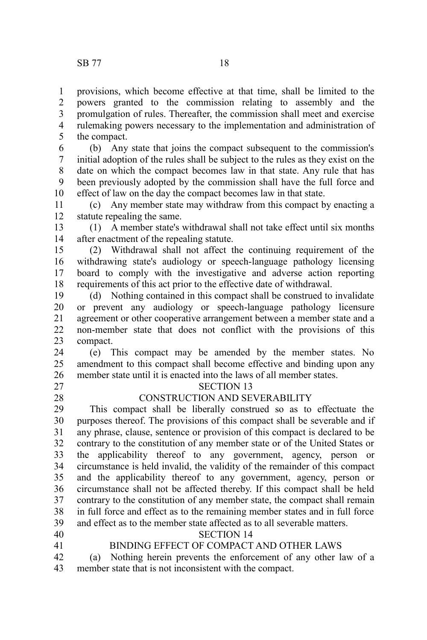provisions, which become effective at that time, shall be limited to the powers granted to the commission relating to assembly and the promulgation of rules. Thereafter, the commission shall meet and exercise rulemaking powers necessary to the implementation and administration of the compact. 1 2 3 4 5

(b) Any state that joins the compact subsequent to the commission's initial adoption of the rules shall be subject to the rules as they exist on the date on which the compact becomes law in that state. Any rule that has been previously adopted by the commission shall have the full force and effect of law on the day the compact becomes law in that state. 6 7 8 9 10

(c) Any member state may withdraw from this compact by enacting a statute repealing the same. 11 12

(1) A member state's withdrawal shall not take effect until six months after enactment of the repealing statute. 13 14

(2) Withdrawal shall not affect the continuing requirement of the withdrawing state's audiology or speech-language pathology licensing board to comply with the investigative and adverse action reporting requirements of this act prior to the effective date of withdrawal. 15 16 17 18

(d) Nothing contained in this compact shall be construed to invalidate or prevent any audiology or speech-language pathology licensure agreement or other cooperative arrangement between a member state and a non-member state that does not conflict with the provisions of this compact. 19 20 21 22 23

(e) This compact may be amended by the member states. No amendment to this compact shall become effective and binding upon any member state until it is enacted into the laws of all member states. 24 25 26

27 28

#### SECTION 13 CONSTRUCTION AND SEVERABILITY

This compact shall be liberally construed so as to effectuate the purposes thereof. The provisions of this compact shall be severable and if any phrase, clause, sentence or provision of this compact is declared to be contrary to the constitution of any member state or of the United States or the applicability thereof to any government, agency, person or circumstance is held invalid, the validity of the remainder of this compact and the applicability thereof to any government, agency, person or circumstance shall not be affected thereby. If this compact shall be held contrary to the constitution of any member state, the compact shall remain in full force and effect as to the remaining member states and in full force and effect as to the member state affected as to all severable matters. 29 30 31 32 33 34 35 36 37 38 39

- 40 41
- BINDING EFFECT OF COMPACT AND OTHER LAWS

SECTION 14

(a) Nothing herein prevents the enforcement of any other law of a member state that is not inconsistent with the compact. 42 43